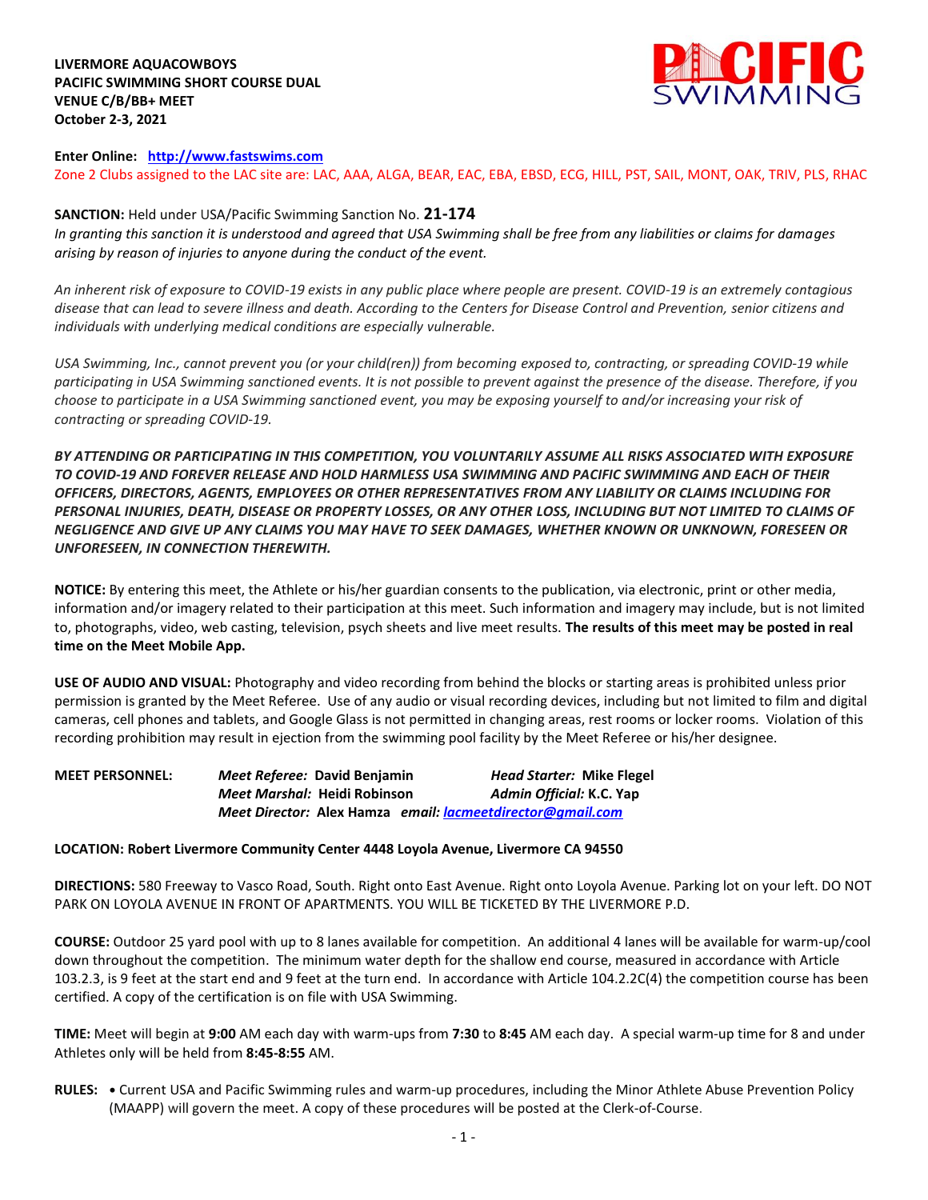**LIVERMORE AQUACOWBOYS PACIFIC SWIMMING SHORT COURSE DUAL VENUE C/B/BB+ MEET October 2-3, 2021** 



#### **Enter Online: [http://www.fastswims.com](http://www.fastswims.com/)**

Zone 2 Clubs assigned to the LAC site are: LAC, AAA, ALGA, BEAR, EAC, EBA, EBSD, ECG, HILL, PST, SAIL, MONT, OAK, TRIV, PLS, RHAC

## **SANCTION:** Held under USA/Pacific Swimming Sanction No. **21-174**

*In granting this sanction it is understood and agreed that USA Swimming shall be free from any liabilities or claims for damages arising by reason of injuries to anyone during the conduct of the event.* 

*An inherent risk of exposure to COVID-19 exists in any public place where people are present. COVID-19 is an extremely contagious disease that can lead to severe illness and death. According to the Centers for Disease Control and Prevention, senior citizens and individuals with underlying medical conditions are especially vulnerable.*

*USA Swimming, Inc., cannot prevent you (or your child(ren)) from becoming exposed to, contracting, or spreading COVID-19 while participating in USA Swimming sanctioned events. It is not possible to prevent against the presence of the disease. Therefore, if you choose to participate in a USA Swimming sanctioned event, you may be exposing yourself to and/or increasing your risk of contracting or spreading COVID-19.*

*BY ATTENDING OR PARTICIPATING IN THIS COMPETITION, YOU VOLUNTARILY ASSUME ALL RISKS ASSOCIATED WITH EXPOSURE TO COVID-19 AND FOREVER RELEASE AND HOLD HARMLESS USA SWIMMING AND PACIFIC SWIMMING AND EACH OF THEIR OFFICERS, DIRECTORS, AGENTS, EMPLOYEES OR OTHER REPRESENTATIVES FROM ANY LIABILITY OR CLAIMS INCLUDING FOR PERSONAL INJURIES, DEATH, DISEASE OR PROPERTY LOSSES, OR ANY OTHER LOSS, INCLUDING BUT NOT LIMITED TO CLAIMS OF NEGLIGENCE AND GIVE UP ANY CLAIMS YOU MAY HAVE TO SEEK DAMAGES, WHETHER KNOWN OR UNKNOWN, FORESEEN OR UNFORESEEN, IN CONNECTION THEREWITH.*

**NOTICE:** By entering this meet, the Athlete or his/her guardian consents to the publication, via electronic, print or other media, information and/or imagery related to their participation at this meet. Such information and imagery may include, but is not limited to, photographs, video, web casting, television, psych sheets and live meet results. **The results of this meet may be posted in real time on the Meet Mobile App.** 

**USE OF AUDIO AND VISUAL:** Photography and video recording from behind the blocks or starting areas is prohibited unless prior permission is granted by the Meet Referee. Use of any audio or visual recording devices, including but not limited to film and digital cameras, cell phones and tablets, and Google Glass is not permitted in changing areas, rest rooms or locker rooms. Violation of this recording prohibition may result in ejection from the swimming pool facility by the Meet Referee or his/her designee.

**MEET PERSONNEL:** *Meet Referee:* **David Benjamin** *Head Starter:* **Mike Flegel**  *Meet Marshal:* **Heidi Robinson** *Admin Official:* **K.C. Yap**  *Meet Director:* **Alex Hamza** *email: [lacmeetdirector@gmail.com](mailto:lacmeetdirector@gmail.com)*

#### **LOCATION: Robert Livermore Community Center 4448 Loyola Avenue, Livermore CA 94550**

**DIRECTIONS:** 580 Freeway to Vasco Road, South. Right onto East Avenue. Right onto Loyola Avenue. Parking lot on your left. DO NOT PARK ON LOYOLA AVENUE IN FRONT OF APARTMENTS. YOU WILL BE TICKETED BY THE LIVERMORE P.D.

**COURSE:** Outdoor 25 yard pool with up to 8 lanes available for competition. An additional 4 lanes will be available for warm-up/cool down throughout the competition. The minimum water depth for the shallow end course, measured in accordance with Article 103.2.3, is 9 feet at the start end and 9 feet at the turn end. In accordance with Article 104.2.2C(4) the competition course has been certified. A copy of the certification is on file with USA Swimming.

**TIME:** Meet will begin at **9:00** AM each day with warm-ups from **7:30** to **8:45** AM each day. A special warm-up time for 8 and under Athletes only will be held from **8:45-8:55** AM.

**RULES: •** Current USA and Pacific Swimming rules and warm-up procedures, including the Minor Athlete Abuse Prevention Policy (MAAPP) will govern the meet. A copy of these procedures will be posted at the Clerk-of-Course.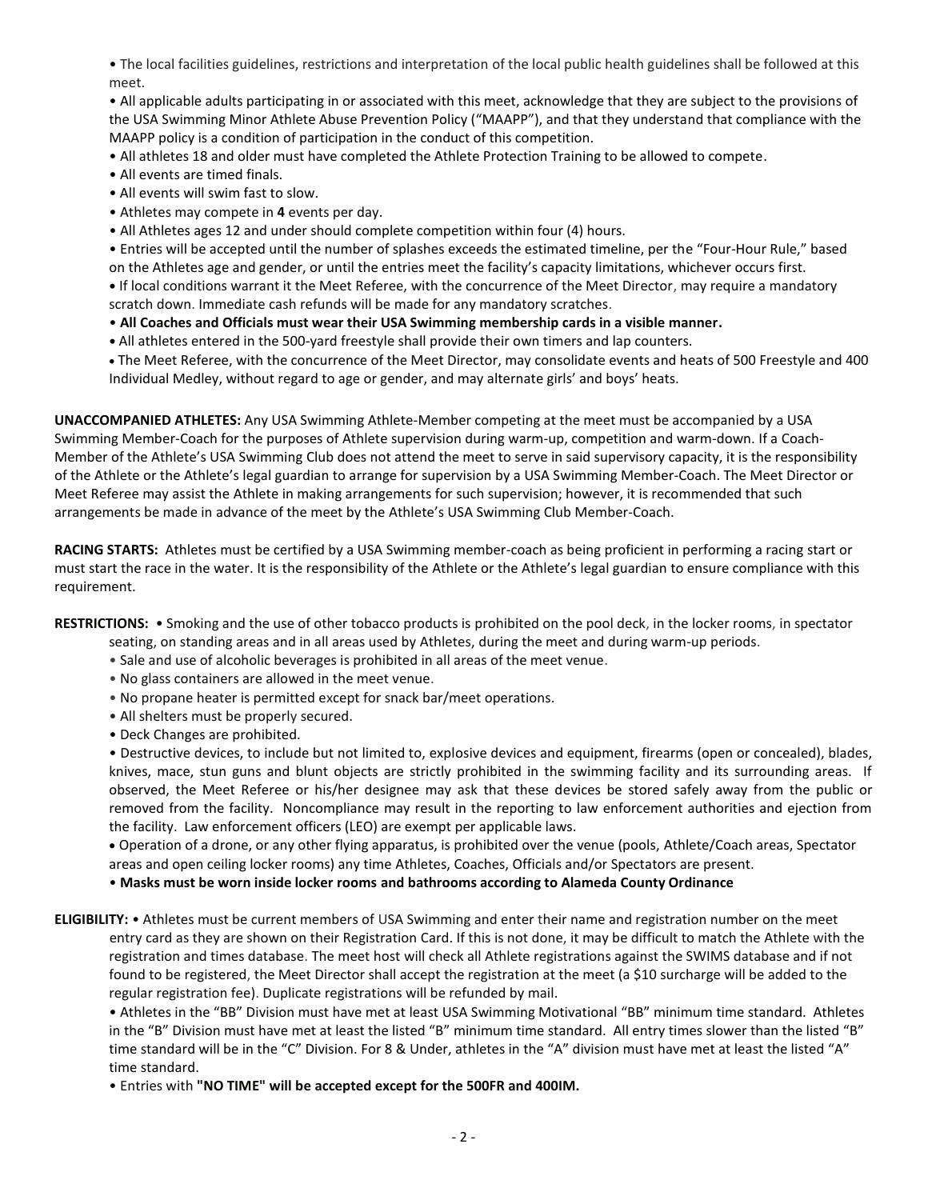• The local facilities guidelines, restrictions and interpretation of the local public health guidelines shall be followed at this meet.

• All applicable adults participating in or associated with this meet, acknowledge that they are subject to the provisions of the USA Swimming Minor Athlete Abuse Prevention Policy ("MAAPP"), and that they understand that compliance with the MAAPP policy is a condition of participation in the conduct of this competition.

• All athletes 18 and older must have completed the Athlete Protection Training to be allowed to compete.

- All events are timed finals.
- All events will swim fast to slow.
- Athletes may compete in **4** events per day.
- All Athletes ages 12 and under should complete competition within four (4) hours.

• Entries will be accepted until the number of splashes exceeds the estimated timeline, per the "Four-Hour Rule," based on the Athletes age and gender, or until the entries meet the facility's capacity limitations, whichever occurs first.

**•** If local conditions warrant it the Meet Referee, with the concurrence of the Meet Director, may require a mandatory scratch down. Immediate cash refunds will be made for any mandatory scratches.

- **All Coaches and Officials must wear their USA Swimming membership cards in a visible manner.**
- **•** All athletes entered in the 500-yard freestyle shall provide their own timers and lap counters.

 The Meet Referee, with the concurrence of the Meet Director, may consolidate events and heats of 500 Freestyle and 400 Individual Medley, without regard to age or gender, and may alternate girls' and boys' heats.

**UNACCOMPANIED ATHLETES:** Any USA Swimming Athlete-Member competing at the meet must be accompanied by a USA Swimming Member-Coach for the purposes of Athlete supervision during warm-up, competition and warm-down. If a Coach-Member of the Athlete's USA Swimming Club does not attend the meet to serve in said supervisory capacity, it is the responsibility of the Athlete or the Athlete's legal guardian to arrange for supervision by a USA Swimming Member-Coach. The Meet Director or Meet Referee may assist the Athlete in making arrangements for such supervision; however, it is recommended that such arrangements be made in advance of the meet by the Athlete's USA Swimming Club Member-Coach.

**RACING STARTS:** Athletes must be certified by a USA Swimming member-coach as being proficient in performing a racing start or must start the race in the water. It is the responsibility of the Athlete or the Athlete's legal guardian to ensure compliance with this requirement.

**RESTRICTIONS:** • Smoking and the use of other tobacco products is prohibited on the pool deck, in the locker rooms, in spectator

- seating, on standing areas and in all areas used by Athletes, during the meet and during warm-up periods.
- Sale and use of alcoholic beverages is prohibited in all areas of the meet venue.
- No glass containers are allowed in the meet venue.
- No propane heater is permitted except for snack bar/meet operations.
- All shelters must be properly secured.
- Deck Changes are prohibited.

• Destructive devices, to include but not limited to, explosive devices and equipment, firearms (open or concealed), blades, knives, mace, stun guns and blunt objects are strictly prohibited in the swimming facility and its surrounding areas. If observed, the Meet Referee or his/her designee may ask that these devices be stored safely away from the public or removed from the facility. Noncompliance may result in the reporting to law enforcement authorities and ejection from the facility. Law enforcement officers (LEO) are exempt per applicable laws.

 Operation of a drone, or any other flying apparatus, is prohibited over the venue (pools, Athlete/Coach areas, Spectator areas and open ceiling locker rooms) any time Athletes, Coaches, Officials and/or Spectators are present.

• **Masks must be worn inside locker rooms and bathrooms according to Alameda County Ordinance**

**ELIGIBILITY:** • Athletes must be current members of USA Swimming and enter their name and registration number on the meet entry card as they are shown on their Registration Card. If this is not done, it may be difficult to match the Athlete with the registration and times database. The meet host will check all Athlete registrations against the SWIMS database and if not found to be registered, the Meet Director shall accept the registration at the meet (a \$10 surcharge will be added to the regular registration fee). Duplicate registrations will be refunded by mail.

• Athletes in the "BB" Division must have met at least USA Swimming Motivational "BB" minimum time standard. Athletes in the "B" Division must have met at least the listed "B" minimum time standard. All entry times slower than the listed "B" time standard will be in the "C" Division. For 8 & Under, athletes in the "A" division must have met at least the listed "A" time standard.

• Entries with **"NO TIME" will be accepted except for the 500FR and 400IM.**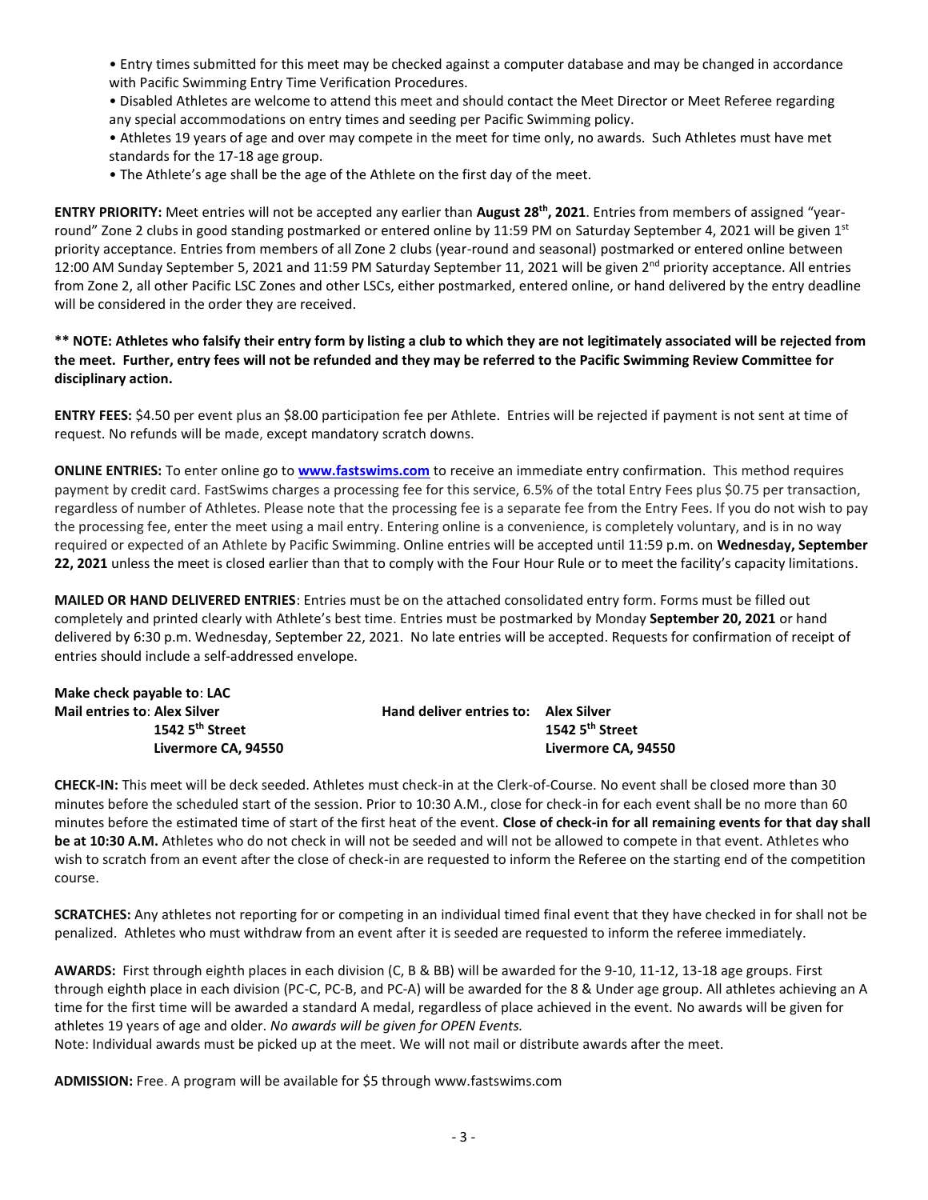• Entry times submitted for this meet may be checked against a computer database and may be changed in accordance with Pacific Swimming Entry Time Verification Procedures.

• Disabled Athletes are welcome to attend this meet and should contact the Meet Director or Meet Referee regarding any special accommodations on entry times and seeding per Pacific Swimming policy.

- Athletes 19 years of age and over may compete in the meet for time only, no awards. Such Athletes must have met standards for the 17-18 age group.
- The Athlete's age shall be the age of the Athlete on the first day of the meet.

**ENTRY PRIORITY:** Meet entries will not be accepted any earlier than **August 28th, 2021**. Entries from members of assigned "yearround" Zone 2 clubs in good standing postmarked or entered online by 11:59 PM on Saturday September 4, 2021 will be given  $1^{st}$ priority acceptance. Entries from members of all Zone 2 clubs (year-round and seasonal) postmarked or entered online between 12:00 AM Sunday September 5, 2021 and 11:59 PM Saturday September 11, 2021 will be given 2<sup>nd</sup> priority acceptance. All entries from Zone 2, all other Pacific LSC Zones and other LSCs, either postmarked, entered online, or hand delivered by the entry deadline will be considered in the order they are received.

**\*\* NOTE: Athletes who falsify their entry form by listing a club to which they are not legitimately associated will be rejected from the meet. Further, entry fees will not be refunded and they may be referred to the Pacific Swimming Review Committee for disciplinary action.**

**ENTRY FEES:** \$4.50 per event plus an \$8.00 participation fee per Athlete. Entries will be rejected if payment is not sent at time of request. No refunds will be made, except mandatory scratch downs.

**ONLINE ENTRIES:** To enter online go to **[www.fastswims.com](http://www.fastswims.com/)** to receive an immediate entry confirmation. This method requires payment by credit card. FastSwims charges a processing fee for this service, 6.5% of the total Entry Fees plus \$0.75 per transaction, regardless of number of Athletes. Please note that the processing fee is a separate fee from the Entry Fees. If you do not wish to pay the processing fee, enter the meet using a mail entry. Entering online is a convenience, is completely voluntary, and is in no way required or expected of an Athlete by Pacific Swimming. Online entries will be accepted until 11:59 p.m. on **Wednesday, September 22, 2021** unless the meet is closed earlier than that to comply with the Four Hour Rule or to meet the facility's capacity limitations.

**MAILED OR HAND DELIVERED ENTRIES**: Entries must be on the attached consolidated entry form. Forms must be filled out completely and printed clearly with Athlete's best time. Entries must be postmarked by Monday **September 20, 2021** or hand delivered by 6:30 p.m. Wednesday, September 22, 2021. No late entries will be accepted. Requests for confirmation of receipt of entries should include a self-addressed envelope.

| Make check payable to: LAC          |                                             |                     |
|-------------------------------------|---------------------------------------------|---------------------|
| <b>Mail entries to: Alex Silver</b> | <b>Hand deliver entries to: Alex Silver</b> |                     |
| 1542 $5th$ Street                   |                                             | 1542 $5th$ Street   |
| Livermore CA, 94550                 |                                             | Livermore CA. 94550 |

**CHECK-IN:** This meet will be deck seeded. Athletes must check-in at the Clerk-of-Course. No event shall be closed more than 30 minutes before the scheduled start of the session. Prior to 10:30 A.M., close for check-in for each event shall be no more than 60 minutes before the estimated time of start of the first heat of the event. **Close of check-in for all remaining events for that day shall be at 10:30 A.M.** Athletes who do not check in will not be seeded and will not be allowed to compete in that event. Athletes who wish to scratch from an event after the close of check-in are requested to inform the Referee on the starting end of the competition course.

**SCRATCHES:** Any athletes not reporting for or competing in an individual timed final event that they have checked in for shall not be penalized. Athletes who must withdraw from an event after it is seeded are requested to inform the referee immediately.

**AWARDS:** First through eighth places in each division (C, B & BB) will be awarded for the 9-10, 11-12, 13-18 age groups. First through eighth place in each division (PC-C, PC-B, and PC-A) will be awarded for the 8 & Under age group. All athletes achieving an A time for the first time will be awarded a standard A medal, regardless of place achieved in the event. No awards will be given for athletes 19 years of age and older. *No awards will be given for OPEN Events.*

Note: Individual awards must be picked up at the meet. We will not mail or distribute awards after the meet.

**ADMISSION:** Free. A program will be available for \$5 through www.fastswims.com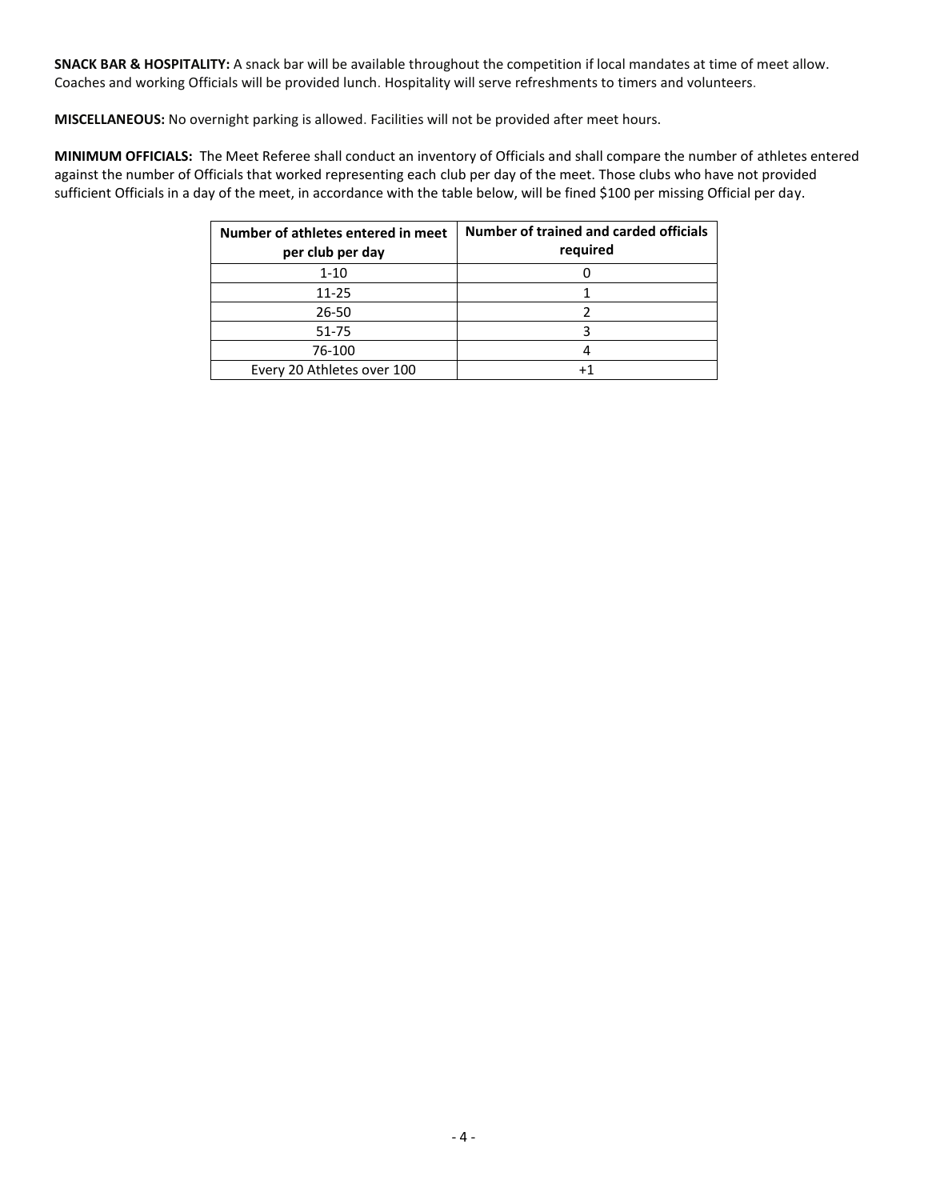**SNACK BAR & HOSPITALITY:** A snack bar will be available throughout the competition if local mandates at time of meet allow. Coaches and working Officials will be provided lunch. Hospitality will serve refreshments to timers and volunteers.

**MISCELLANEOUS:** No overnight parking is allowed. Facilities will not be provided after meet hours.

**MINIMUM OFFICIALS:** The Meet Referee shall conduct an inventory of Officials and shall compare the number of athletes entered against the number of Officials that worked representing each club per day of the meet. Those clubs who have not provided sufficient Officials in a day of the meet, in accordance with the table below, will be fined \$100 per missing Official per day.

| Number of athletes entered in meet<br>per club per day | Number of trained and carded officials<br>required |
|--------------------------------------------------------|----------------------------------------------------|
| $1 - 10$                                               |                                                    |
| $11 - 25$                                              |                                                    |
| 26-50                                                  |                                                    |
| 51-75                                                  |                                                    |
| 76-100                                                 |                                                    |
| Every 20 Athletes over 100                             |                                                    |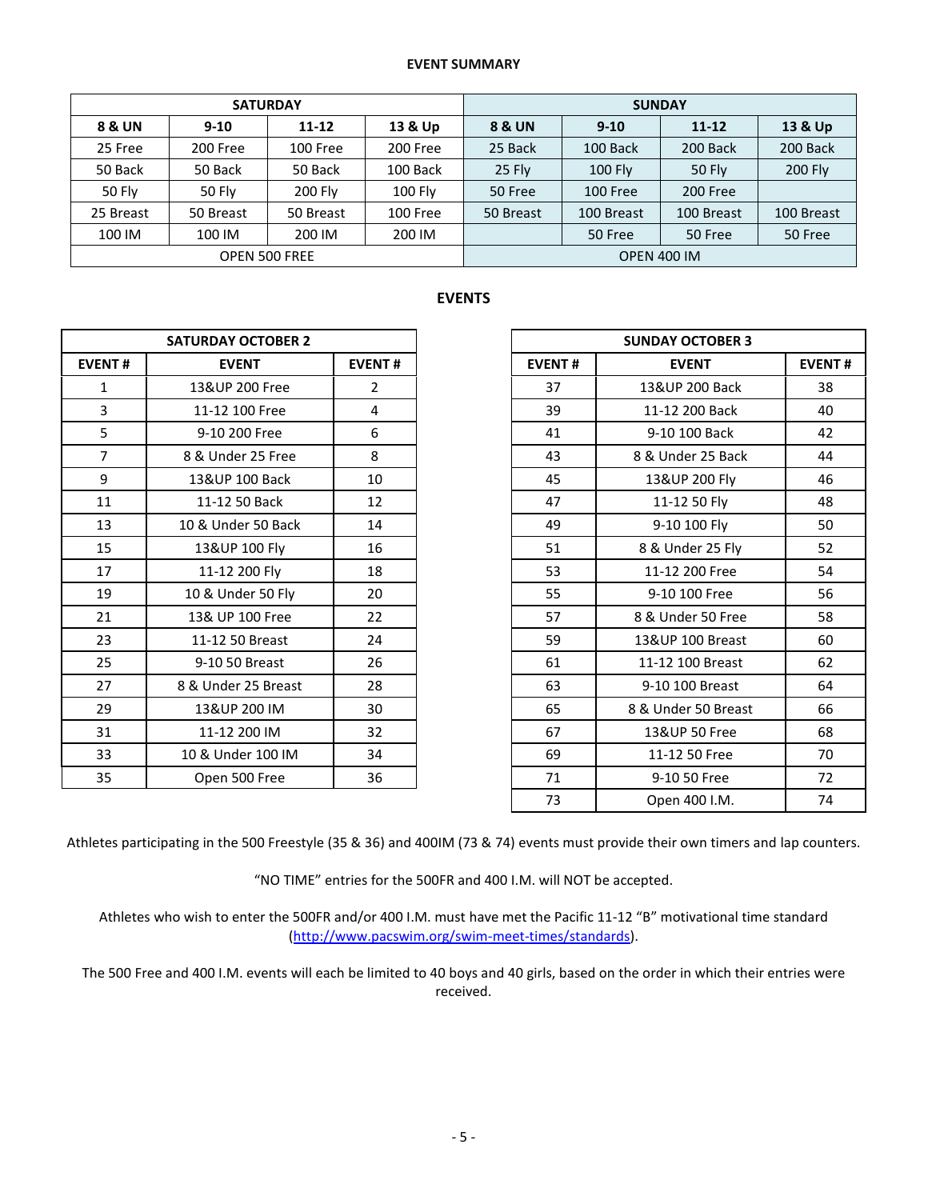### **EVENT SUMMARY**

|               |               | <b>SATURDAY</b> |          | <b>SUNDAY</b>      |            |            |            |  |
|---------------|---------------|-----------------|----------|--------------------|------------|------------|------------|--|
| 8 & UN        | $9-10$        | $11 - 12$       | 13 & Up  | 8 & UN             | $9 - 10$   | $11 - 12$  | 13 & Up    |  |
| 25 Free       | 200 Free      | 100 Free        | 200 Free | 25 Back            | 100 Back   | 200 Back   | 200 Back   |  |
| 50 Back       | 50 Back       | 50 Back         | 100 Back | 25 Fly             | $100$ Fly  | 50 Fly     | 200 Fly    |  |
| <b>50 Fly</b> | <b>50 Fly</b> | 200 Fly         | 100 Fly  | 50 Free            | 100 Free   | 200 Free   |            |  |
| 25 Breast     | 50 Breast     | 50 Breast       | 100 Free | 50 Breast          | 100 Breast | 100 Breast | 100 Breast |  |
| 100 IM        | 100 IM        | 200 IM          | 200 IM   |                    | 50 Free    | 50 Free    | 50 Free    |  |
|               |               | OPEN 500 FREE   |          | <b>OPEN 400 IM</b> |            |            |            |  |

# **EVENTS**

|                | <b>SATURDAY OCTOBER 2</b> |                |               |
|----------------|---------------------------|----------------|---------------|
| <b>EVENT#</b>  | <b>EVENT</b>              | <b>EVENT#</b>  | <b>EVENT#</b> |
| $\mathbf{1}$   | 13&UP 200 Free            | $\overline{2}$ | 37            |
| 3              | 11-12 100 Free            | 4              | 39            |
| 5              | 9-10 200 Free             | 6              | 41            |
| $\overline{7}$ | 8 & Under 25 Free         | 8              | 43            |
| 9              | 13&UP 100 Back            | 10             | 45            |
| 11             | 11-12 50 Back             | 12             | 47            |
| 13             | 10 & Under 50 Back        | 14             | 49            |
| 15             | 13&UP 100 Fly             | 16             | 51            |
| 17             | 11-12 200 Fly             | 18             | 53            |
| 19             | 10 & Under 50 Fly         | 20             | 55            |
| 21             | 13& UP 100 Free           | 22             | 57            |
| 23             | 11-12 50 Breast           | 24             | 59            |
| 25             | 9-10 50 Breast            | 26             | 61            |
| 27             | 8 & Under 25 Breast       | 28             | 63            |
| 29             | 13&UP 200 IM              | 30             | 65            |
| 31             | 11-12 200 IM              | 32             | 67            |
| 33             | 10 & Under 100 IM         | 34             | 69            |
| 35             | Open 500 Free             | 36             | 71            |

|                | <b>SATURDAY OCTOBER 2</b> |                |               | <b>SUNDAY OCTOBER 3</b> |    |  |  |  |
|----------------|---------------------------|----------------|---------------|-------------------------|----|--|--|--|
| <b>EVENT#</b>  | <b>EVENT</b>              | <b>EVENT#</b>  | <b>EVENT#</b> | <b>EVENT</b>            |    |  |  |  |
| $\mathbf{1}$   | 13&UP 200 Free            | $\overline{2}$ | 37            | 13&UP 200 Back          | 38 |  |  |  |
| 3              | 11-12 100 Free            | 4              | 39            | 11-12 200 Back          | 40 |  |  |  |
| 5              | 9-10 200 Free             | 6              | 41            | 9-10 100 Back           | 42 |  |  |  |
| $\overline{7}$ | 8 & Under 25 Free         | 8              | 43            | 8 & Under 25 Back       | 44 |  |  |  |
| 9              | 13&UP 100 Back            | 10             | 45            | 13&UP 200 Fly           | 46 |  |  |  |
| 11             | 11-12 50 Back             | 12             | 47            | 11-12 50 Fly            | 48 |  |  |  |
| 13             | 10 & Under 50 Back        | 14             | 49            | 9-10 100 Fly            | 50 |  |  |  |
| 15             | 13&UP 100 Fly             | 16             | 51            | 8 & Under 25 Fly        | 52 |  |  |  |
| 17             | 11-12 200 Fly             | 18             | 53            | 11-12 200 Free          | 54 |  |  |  |
| 19             | 10 & Under 50 Fly         | 20             | 55            | 9-10 100 Free           | 56 |  |  |  |
| 21             | 13& UP 100 Free           | 22             | 57            | 8 & Under 50 Free       | 58 |  |  |  |
| 23             | 11-12 50 Breast           | 24             | 59            | 13&UP 100 Breast        | 60 |  |  |  |
| 25             | 9-10 50 Breast            | 26             | 61            | 11-12 100 Breast        | 62 |  |  |  |
| 27             | 8 & Under 25 Breast       | 28             | 63            | 9-10 100 Breast         | 64 |  |  |  |
| 29             | 13&UP 200 IM              | 30             | 65            | 8 & Under 50 Breast     | 66 |  |  |  |
| 31             | 11-12 200 IM              | 32             | 67            | 13&UP 50 Free           | 68 |  |  |  |
| 33             | 10 & Under 100 IM         | 34             | 69            | 11-12 50 Free           | 70 |  |  |  |
| 35             | Open 500 Free             | 36             | 71            | 9-10 50 Free            | 72 |  |  |  |
|                |                           |                | 73            | Open 400 I.M.           | 74 |  |  |  |

Athletes participating in the 500 Freestyle (35 & 36) and 400IM (73 & 74) events must provide their own timers and lap counters.

"NO TIME" entries for the 500FR and 400 I.M. will NOT be accepted.

Athletes who wish to enter the 500FR and/or 400 I.M. must have met the Pacific 11-12 "B" motivational time standard [\(http://www.pacswim.org/swim-meet-times/standards\)](http://www.pacswim.org/swim-meet-times/standards).

The 500 Free and 400 I.M. events will each be limited to 40 boys and 40 girls, based on the order in which their entries were received.